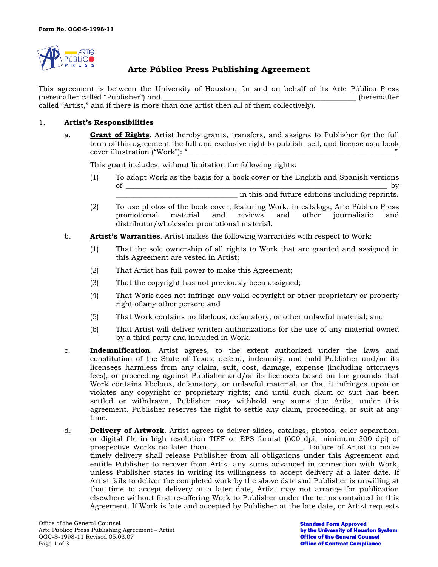

# **Arte Público Press Publishing Agreement**

This agreement is between the University of Houston, for and on behalf of its Arte Público Press (hereinafter called "Publisher") and \_\_\_\_\_\_\_\_\_\_\_\_\_\_\_\_\_\_\_\_\_\_\_\_\_\_\_\_\_\_\_\_\_\_\_\_\_\_\_\_\_\_\_\_\_\_\_\_\_\_\_\_\_\_ (hereinafter called "Artist," and if there is more than one artist then all of them collectively).

## 1. **Artist's Responsibilities**

a. **Grant of Rights**. Artist hereby grants, transfers, and assigns to Publisher for the full term of this agreement the full and exclusive right to publish, sell, and license as a book cover illustration ("Work"): "

This grant includes, without limitation the following rights:

- (1) To adapt Work as the basis for a book cover or the English and Spanish versions of \_\_\_\_\_\_\_\_\_\_\_\_\_\_\_\_\_\_\_\_\_\_\_\_\_\_\_\_\_\_\_\_\_\_\_\_\_\_\_\_\_\_\_\_\_\_\_\_\_\_\_\_\_\_\_\_\_\_\_\_\_\_\_\_\_\_\_\_\_\_\_\_\_ by \_\_\_\_\_\_\_\_\_\_\_\_\_\_\_\_\_\_\_\_\_\_\_\_\_\_\_\_\_\_\_\_\_\_ in this and future editions including reprints.
- (2) To use photos of the book cover, featuring Work, in catalogs, Arte Público Press promotional material and reviews and other journalistic and distributor/wholesaler promotional material.
- b. **Artist's Warranties**. Artist makes the following warranties with respect to Work:
	- (1) That the sole ownership of all rights to Work that are granted and assigned in this Agreement are vested in Artist;
	- (2) That Artist has full power to make this Agreement;
	- (3) That the copyright has not previously been assigned;
	- (4) That Work does not infringe any valid copyright or other proprietary or property right of any other person; and
	- (5) That Work contains no libelous, defamatory, or other unlawful material; and
	- (6) That Artist will deliver written authorizations for the use of any material owned by a third party and included in Work.
- c. **Indemnification**. Artist agrees, to the extent authorized under the laws and constitution of the State of Texas, defend, indemnify, and hold Publisher and/or its licensees harmless from any claim, suit, cost, damage, expense (including attorneys fees), or proceeding against Publisher and/or its licensees based on the grounds that Work contains libelous, defamatory, or unlawful material, or that it infringes upon or violates any copyright or proprietary rights; and until such claim or suit has been settled or withdrawn, Publisher may withhold any sums due Artist under this agreement. Publisher reserves the right to settle any claim, proceeding, or suit at any time.
- d. **Delivery of Artwork**. Artist agrees to deliver slides, catalogs, photos, color separation, or digital file in high resolution TIFF or EPS format (600 dpi, minimum 300 dpi) of prospective Works no later than \_\_\_\_\_\_\_\_\_\_\_\_\_\_\_\_\_\_\_\_\_\_\_\_\_\_. Failure of Artist to make timely delivery shall release Publisher from all obligations under this Agreement and entitle Publisher to recover from Artist any sums advanced in connection with Work, unless Publisher states in writing its willingness to accept delivery at a later date. If Artist fails to deliver the completed work by the above date and Publisher is unwilling at that time to accept delivery at a later date, Artist may not arrange for publication elsewhere without first re-offering Work to Publisher under the terms contained in this Agreement. If Work is late and accepted by Publisher at the late date, or Artist requests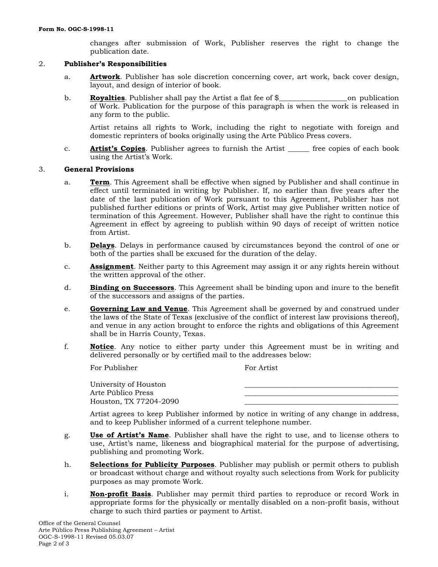changes after submission of Work, Publisher reserves the right to change the publication date.

# 2. **Publisher's Responsibilities**

- a. **Artwork**. Publisher has sole discretion concerning cover, art work, back cover design, layout, and design of interior of book.
- b. **Royalties**. Publisher shall pay the Artist a flat fee of \$\_\_\_\_\_\_\_\_\_\_\_\_\_\_\_\_\_\_\_ on publication of Work. Publication for the purpose of this paragraph is when the work is released in any form to the public.

Artist retains all rights to Work, including the right to negotiate with foreign and domestic reprinters of books originally using the Arte Público Press covers.

c. **Artist's Copies**. Publisher agrees to furnish the Artist \_\_\_\_\_\_ free copies of each book using the Artist's Work.

### 3. **General Provisions**

- a. **Term**. This Agreement shall be effective when signed by Publisher and shall continue in effect until terminated in writing by Publisher. If, no earlier than five years after the date of the last publication of Work pursuant to this Agreement, Publisher has not published further editions or prints of Work, Artist may give Publisher written notice of termination of this Agreement. However, Publisher shall have the right to continue this Agreement in effect by agreeing to publish within 90 days of receipt of written notice from Artist.
- b. **Delays**. Delays in performance caused by circumstances beyond the control of one or both of the parties shall be excused for the duration of the delay.
- c. **Assignment**. Neither party to this Agreement may assign it or any rights herein without the written approval of the other.
- d. **Binding on Successors**. This Agreement shall be binding upon and inure to the benefit of the successors and assigns of the parties.
- e. **Governing Law and Venue**. This Agreement shall be governed by and construed under the laws of the State of Texas (exclusive of the conflict of interest law provisions thereof), and venue in any action brought to enforce the rights and obligations of this Agreement shall be in Harris County, Texas.
- f. **Notice**. Any notice to either party under this Agreement must be in writing and delivered personally or by certified mail to the addresses below:

For Publisher For Artist

University of Houston \_\_\_\_\_\_\_\_\_\_\_\_\_\_\_\_\_\_\_\_\_\_\_\_\_\_\_\_\_\_\_\_\_\_\_\_\_\_\_\_\_\_\_ Arte Público Press Houston, TX 77204-2090

Artist agrees to keep Publisher informed by notice in writing of any change in address, and to keep Publisher informed of a current telephone number.

- g. **Use of Artist's Name**. Publisher shall have the right to use, and to license others to use, Artist's name, likeness and biographical material for the purpose of advertising, publishing and promoting Work.
- h. **Selections for Publicity Purposes**. Publisher may publish or permit others to publish or broadcast without charge and without royalty such selections from Work for publicity purposes as may promote Work.
- i. **Non-profit Basis**. Publisher may permit third parties to reproduce or record Work in appropriate forms for the physically or mentally disabled on a non-profit basis, without charge to such third parties or payment to Artist.